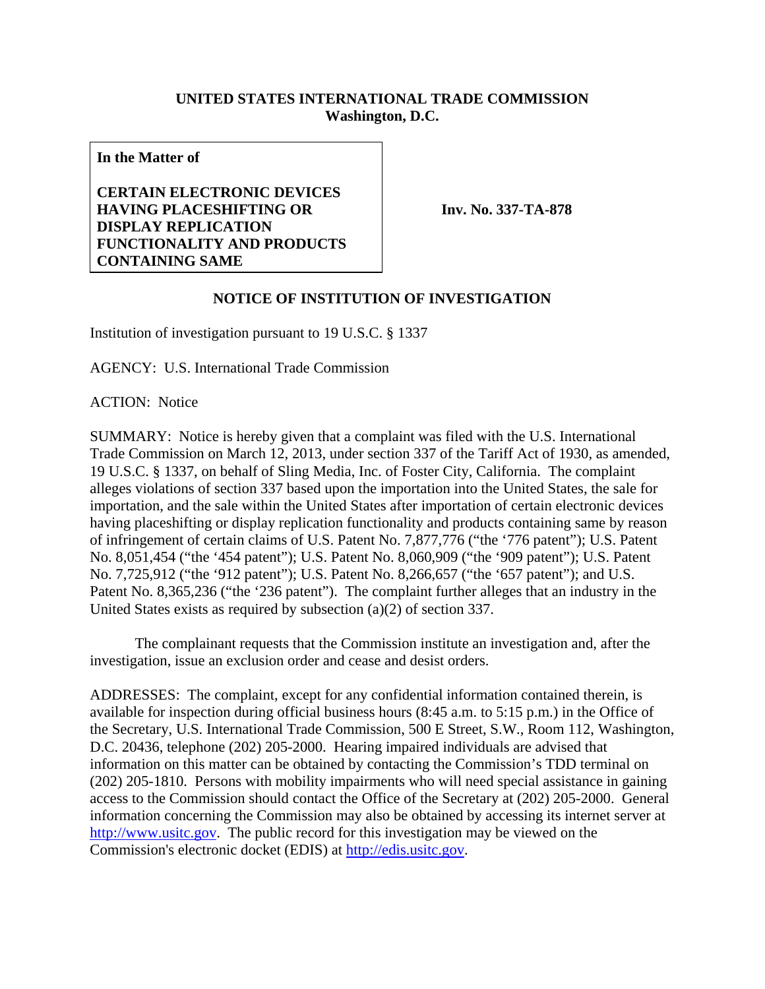## **UNITED STATES INTERNATIONAL TRADE COMMISSION Washington, D.C.**

**In the Matter of** 

**CERTAIN ELECTRONIC DEVICES HAVING PLACESHIFTING OR DISPLAY REPLICATION FUNCTIONALITY AND PRODUCTS CONTAINING SAME**

**Inv. No. 337-TA-878**

## **NOTICE OF INSTITUTION OF INVESTIGATION**

Institution of investigation pursuant to 19 U.S.C. § 1337

AGENCY: U.S. International Trade Commission

ACTION: Notice

SUMMARY: Notice is hereby given that a complaint was filed with the U.S. International Trade Commission on March 12, 2013, under section 337 of the Tariff Act of 1930, as amended, 19 U.S.C. § 1337, on behalf of Sling Media, Inc. of Foster City, California. The complaint alleges violations of section 337 based upon the importation into the United States, the sale for importation, and the sale within the United States after importation of certain electronic devices having placeshifting or display replication functionality and products containing same by reason of infringement of certain claims of U.S. Patent No. 7,877,776 ("the '776 patent"); U.S. Patent No. 8,051,454 ("the '454 patent"); U.S. Patent No. 8,060,909 ("the '909 patent"); U.S. Patent No. 7,725,912 ("the '912 patent"); U.S. Patent No. 8,266,657 ("the '657 patent"); and U.S. Patent No. 8,365,236 ("the '236 patent"). The complaint further alleges that an industry in the United States exists as required by subsection (a)(2) of section 337.

 The complainant requests that the Commission institute an investigation and, after the investigation, issue an exclusion order and cease and desist orders.

ADDRESSES: The complaint, except for any confidential information contained therein, is available for inspection during official business hours (8:45 a.m. to 5:15 p.m.) in the Office of the Secretary, U.S. International Trade Commission, 500 E Street, S.W., Room 112, Washington, D.C. 20436, telephone (202) 205-2000. Hearing impaired individuals are advised that information on this matter can be obtained by contacting the Commission's TDD terminal on (202) 205-1810. Persons with mobility impairments who will need special assistance in gaining access to the Commission should contact the Office of the Secretary at (202) 205-2000. General information concerning the Commission may also be obtained by accessing its internet server at http://www.usitc.gov. The public record for this investigation may be viewed on the Commission's electronic docket (EDIS) at http://edis.usitc.gov.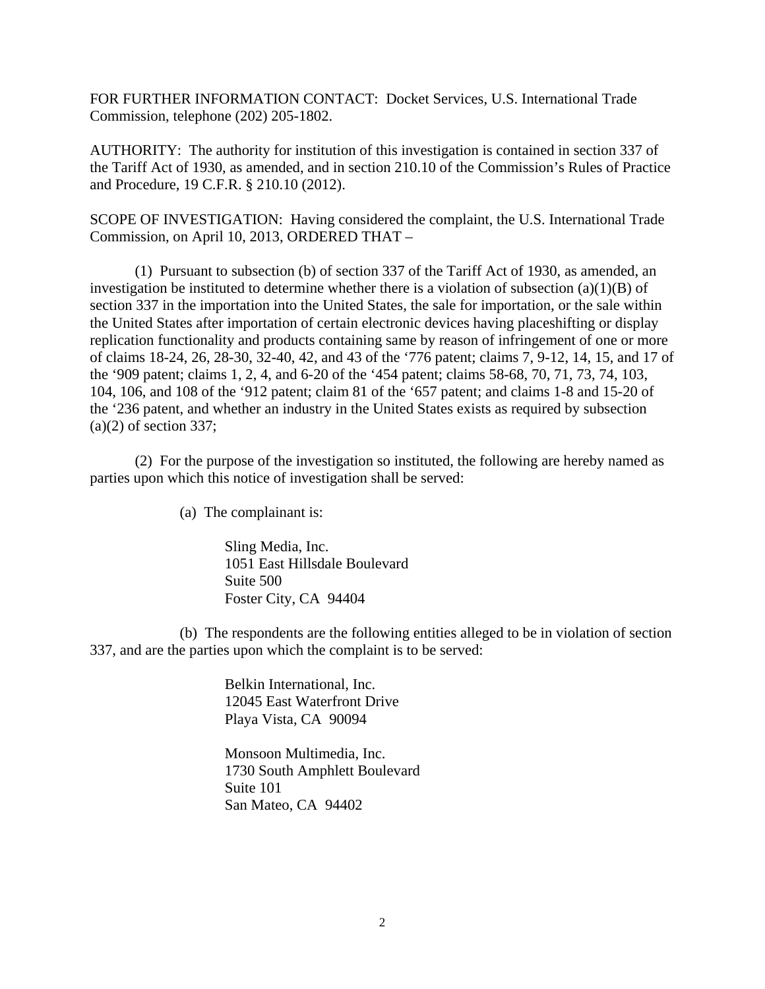FOR FURTHER INFORMATION CONTACT: Docket Services, U.S. International Trade Commission, telephone (202) 205-1802.

AUTHORITY: The authority for institution of this investigation is contained in section 337 of the Tariff Act of 1930, as amended, and in section 210.10 of the Commission's Rules of Practice and Procedure, 19 C.F.R. § 210.10 (2012).

SCOPE OF INVESTIGATION: Having considered the complaint, the U.S. International Trade Commission, on April 10, 2013, ORDERED THAT –

 (1) Pursuant to subsection (b) of section 337 of the Tariff Act of 1930, as amended, an investigation be instituted to determine whether there is a violation of subsection  $(a)(1)(B)$  of section 337 in the importation into the United States, the sale for importation, or the sale within the United States after importation of certain electronic devices having placeshifting or display replication functionality and products containing same by reason of infringement of one or more of claims 18-24, 26, 28-30, 32-40, 42, and 43 of the '776 patent; claims 7, 9-12, 14, 15, and 17 of the '909 patent; claims 1, 2, 4, and 6-20 of the '454 patent; claims 58-68, 70, 71, 73, 74, 103, 104, 106, and 108 of the '912 patent; claim 81 of the '657 patent; and claims 1-8 and 15-20 of the '236 patent, and whether an industry in the United States exists as required by subsection  $(a)(2)$  of section 337;

 (2) For the purpose of the investigation so instituted, the following are hereby named as parties upon which this notice of investigation shall be served:

(a) The complainant is:

 Sling Media, Inc. 1051 East Hillsdale Boulevard Suite 500 Foster City, CA 94404

 (b) The respondents are the following entities alleged to be in violation of section 337, and are the parties upon which the complaint is to be served:

> Belkin International, Inc. 12045 East Waterfront Drive Playa Vista, CA 90094

 Monsoon Multimedia, Inc. 1730 South Amphlett Boulevard Suite 101 San Mateo, CA 94402